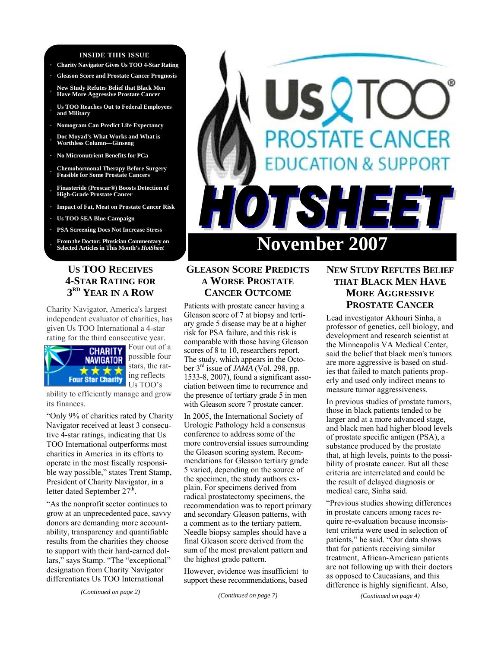#### **INSIDE THIS ISSUE**

- **· Charity Navigator Gives Us TOO 4-Star Rating**
- **· Gleason Score and Prostate Cancer Prognosis**
- **· New Study Refutes Belief that Black Men Have More Aggressive Prostate Cancer**
- **· Us TOO Reaches Out to Federal Employees and Military**
- **· Nomogram Can Predict Life Expectancy**
- **· Doc Moyad's What Works and What is Worthless Column—Ginseng**
- **· No Micronutrient Benefits for PCa**
- **· Chemohormonal Therapy Before Surgery Feasible for Some Prostate Cancers**
- **· Finasteride (Proscar®) Boosts Detection of High-Grade Prostate Cancer**
- **· Impact of Fat, Meat on Prostate Cancer Risk**
- **· Us TOO SEA Blue Campaign**
- **· PSA Screening Does Not Increase Stress**
- **· From the Doctor: Physician Commentary on**

## **US TOO RECEIVES 4-STAR RATING FOR 3RD YEAR IN A ROW**

Charity Navigator, America's largest independent evaluator of charities, has given Us TOO International a 4-star rating for the third consecutive year.



Four out of a possible four stars, the rating reflects Us TOO's

ability to efficiently manage and grow its finances.

"Only 9% of charities rated by Charity Navigator received at least 3 consecutive 4-star ratings, indicating that Us TOO International outperforms most charities in America in its efforts to operate in the most fiscally responsible way possible," states Trent Stamp, President of Charity Navigator, in a letter dated September  $27<sup>th</sup>$ .

"As the nonprofit sector continues to grow at an unprecedented pace, savvy donors are demanding more accountability, transparency and quantifiable results from the charities they choose to support with their hard-earned dollars," says Stamp. "The "exceptional" designation from Charity Navigator differentiates Us TOO International

*(Continued on page 2)* 



# **GLEASON SCORE PREDICTS A WORSE PROSTATE CANCER OUTCOME**

Patients with prostate cancer having a Gleason score of 7 at biopsy and tertiary grade 5 disease may be at a higher risk for PSA failure, and this risk is comparable with those having Gleason scores of 8 to 10, researchers report. The study, which appears in the October 3rd issue of *JAMA* (Vol. 298, pp. 1533-8, 2007), found a significant association between time to recurrence and the presence of tertiary grade 5 in men with Gleason score 7 prostate cancer.

In 2005, the International Society of Urologic Pathology held a consensus conference to address some of the more controversial issues surrounding the Gleason scoring system. Recommendations for Gleason tertiary grade 5 varied, depending on the source of the specimen, the study authors explain. For specimens derived from radical prostatectomy specimens, the recommendation was to report primary and secondary Gleason patterns, with a comment as to the tertiary pattern. Needle biopsy samples should have a final Gleason score derived from the sum of the most prevalent pattern and the highest grade pattern.

However, evidence was insufficient to support these recommendations, based

*(Continued on page 7)* 

# **NEW STUDY REFUTES BELIEF THAT BLACK MEN HAVE MORE AGGRESSIVE PROSTATE CANCER**

Lead investigator Akhouri Sinha, a professor of genetics, cell biology, and development and research scientist at the Minneapolis VA Medical Center, said the belief that black men's tumors are more aggressive is based on studies that failed to match patients properly and used only indirect means to measure tumor aggressiveness.

In previous studies of prostate tumors, those in black patients tended to be larger and at a more advanced stage, and black men had higher blood levels of prostate specific antigen (PSA), a substance produced by the prostate that, at high levels, points to the possibility of prostate cancer. But all these criteria are interrelated and could be the result of delayed diagnosis or medical care, Sinha said.

"Previous studies showing differences in prostate cancers among races require re-evaluation because inconsistent criteria were used in selection of patients," he said. "Our data shows that for patients receiving similar treatment, African-American patients are not following up with their doctors as opposed to Caucasians, and this difference is highly significant. Also,

*(Continued on page 4)*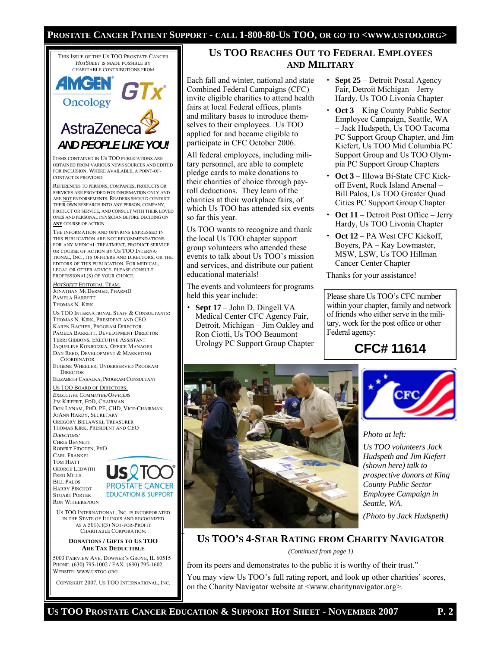### **PROSTATE CANCER PATIENT SUPPORT - CALL 1-800-80-US TOO, OR GO TO <WWW.USTOO.ORG>**



PHONE: (630) 795-1002 / FAX: (630) 795-1602 WEBSITE: WWW.USTOO.ORG

COPYRIGHT 2007, US TOO INTERNATIONAL, INC.

# **US TOO REACHES OUT TO FEDERAL EMPLOYEES AND MILITARY**

Each fall and winter, national and state Combined Federal Campaigns (CFC) invite eligible charities to attend health fairs at local Federal offices, plants and military bases to introduce themselves to their employees. Us TOO applied for and became eligible to participate in CFC October 2006.

All federal employees, including military personnel, are able to complete pledge cards to make donations to their charities of choice through payroll deductions. They learn of the charities at their workplace fairs, of which Us TOO has attended six events so far this year.

Us TOO wants to recognize and thank the local Us TOO chapter support group volunteers who attended these events to talk about Us TOO's mission and services, and distribute our patient educational materials!

The events and volunteers for programs held this year include:

 **Sept 17** – John D. Dingell VA Medical Center CFC Agency Fair, Detroit, Michigan – Jim Oakley and Ron Ciotti, Us TOO Beaumont Urology PC Support Group Chapter

- **Sept 25**  Detroit Postal Agency Fair, Detroit Michigan – Jerry Hardy, Us TOO Livonia Chapter
- **Oct 3**  King County Public Sector Employee Campaign, Seattle, WA – Jack Hudspeth, Us TOO Tacoma PC Support Group Chapter, and Jim Kiefert, Us TOO Mid Columbia PC Support Group and Us TOO Olympia PC Support Group Chapters
- **Oct 3**  IlIowa Bi-State CFC Kickoff Event, Rock Island Arsenal – Bill Palos, Us TOO Greater Quad Cities PC Support Group Chapter
- **Oct 11**  Detroit Post Office Jerry Hardy, Us TOO Livonia Chapter
- **Oct 12**  PA West CFC Kickoff, Boyers, PA – Kay Lowmaster, MSW, LSW, Us TOO Hillman Cancer Center Chapter

Thanks for your assistance!

Please share Us TOO's CFC number within your chapter, family and network of friends who either serve in the military, work for the post office or other Federal agency:

**CFC# 11614** 





*Photo at left:* 

*Us TOO volunteers Jack Hudspeth and Jim Kiefert (shown here) talk to prospective donors at King County Public Sector Employee Campaign in Seattle, WA.* 

*(Photo by Jack Hudspeth)* 

# **US TOO'S 4-STAR RATING FROM CHARITY NAVIGATOR**

*(Continued from page 1)* 

from its peers and demonstrates to the public it is worthy of their trust."

You may view Us TOO's full rating report, and look up other charities' scores, on the Charity Navigator website at <www.charitynavigator.org>.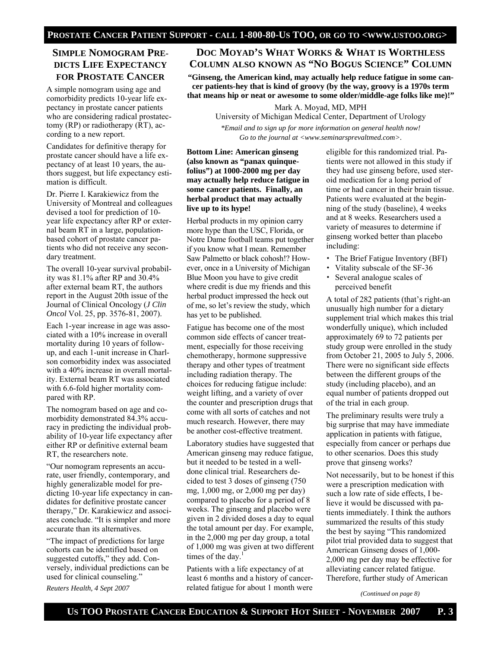## **SIMPLE NOMOGRAM PRE-DICTS LIFE EXPECTANCY FOR PROSTATE CANCER**

A simple nomogram using age and comorbidity predicts 10-year life expectancy in prostate cancer patients who are considering radical prostatectomy (RP) or radiotherapy (RT), according to a new report.

Candidates for definitive therapy for prostate cancer should have a life expectancy of at least 10 years, the authors suggest, but life expectancy estimation is difficult.

Dr. Pierre I. Karakiewicz from the University of Montreal and colleagues devised a tool for prediction of 10 year life expectancy after RP or external beam RT in a large, populationbased cohort of prostate cancer patients who did not receive any secondary treatment.

The overall 10-year survival probability was 81.1% after RP and 30.4% after external beam RT, the authors report in the August 20th issue of the Journal of Clinical Oncology (*J Clin Oncol* Vol. 25, pp. 3576-81, 2007).

Each 1-year increase in age was associated with a 10% increase in overall mortality during 10 years of followup, and each 1-unit increase in Charlson comorbidity index was associated with a 40% increase in overall mortality. External beam RT was associated with 6.6-fold higher mortality compared with RP.

The nomogram based on age and comorbidity demonstrated 84.3% accuracy in predicting the individual probability of 10-year life expectancy after either RP or definitive external beam RT, the researchers note.

"Our nomogram represents an accurate, user friendly, contemporary, and highly generalizable model for predicting 10-year life expectancy in candidates for definitive prostate cancer therapy," Dr. Karakiewicz and associates conclude. "It is simpler and more accurate than its alternatives.

"The impact of predictions for large cohorts can be identified based on suggested cutoffs," they add. Conversely, individual predictions can be used for clinical counseling." *Reuters Health, 4 Sept 2007* 

### **DOC MOYAD'S WHAT WORKS & WHAT IS WORTHLESS COLUMN ALSO KNOWN AS "NO BOGUS SCIENCE" COLUMN**

**"Ginseng, the American kind, may actually help reduce fatigue in some cancer patients-hey that is kind of groovy (by the way, groovy is a 1970s term that means hip or neat or awesome to some older/middle-age folks like me)!"** 

Mark A. Moyad, MD, MPH

University of Michigan Medical Center, Department of Urology

*\*Email and to sign up for more information on general health now! Go to the journal at <www.seminarsprevaltmed.com>.* 

#### **Bottom Line: American ginseng (also known as "panax quinquefolius") at 1000-2000 mg per day may actually help reduce fatigue in some cancer patients. Finally, an herbal product that may actually live up to its hype!**

Herbal products in my opinion carry more hype than the USC, Florida, or Notre Dame football teams put together if you know what I mean. Remember Saw Palmetto or black cohosh!? However, once in a University of Michigan Blue Moon you have to give credit where credit is due my friends and this herbal product impressed the heck out of me, so let's review the study, which has yet to be published.

Fatigue has become one of the most common side effects of cancer treatment, especially for those receiving chemotherapy, hormone suppressive therapy and other types of treatment including radiation therapy. The choices for reducing fatigue include: weight lifting, and a variety of over the counter and prescription drugs that come with all sorts of catches and not much research. However, there may be another cost-effective treatment.

Laboratory studies have suggested that American ginseng may reduce fatigue, but it needed to be tested in a welldone clinical trial. Researchers decided to test 3 doses of ginseng (750 mg, 1,000 mg, or 2,000 mg per day) compared to placebo for a period of 8 weeks. The ginseng and placebo were given in 2 divided doses a day to equal the total amount per day. For example, in the 2,000 mg per day group, a total of 1,000 mg was given at two different times of the day.<sup>1</sup>

Patients with a life expectancy of at least 6 months and a history of cancerrelated fatigue for about 1 month were eligible for this randomized trial. Patients were not allowed in this study if they had use ginseng before, used steroid medication for a long period of time or had cancer in their brain tissue. Patients were evaluated at the beginning of the study (baseline), 4 weeks and at 8 weeks. Researchers used a variety of measures to determine if ginseng worked better than placebo including:

- The Brief Fatigue Inventory (BFI)
- Vitality subscale of the SF-36
- Several analogue scales of perceived benefit

A total of 282 patients (that's right-an unusually high number for a dietary supplement trial which makes this trial wonderfully unique), which included approximately 69 to 72 patients per study group were enrolled in the study from October 21, 2005 to July 5, 2006. There were no significant side effects between the different groups of the study (including placebo), and an equal number of patients dropped out of the trial in each group.

The preliminary results were truly a big surprise that may have immediate application in patients with fatigue, especially from cancer or perhaps due to other scenarios. Does this study prove that ginseng works?

Not necessarily, but to be honest if this were a prescription medication with such a low rate of side effects, I believe it would be discussed with patients immediately. I think the authors summarized the results of this study the best by saying "This randomized pilot trial provided data to suggest that American Ginseng doses of 1,000- 2,000 mg per day may be effective for alleviating cancer related fatigue. Therefore, further study of American

*(Continued on page 8)*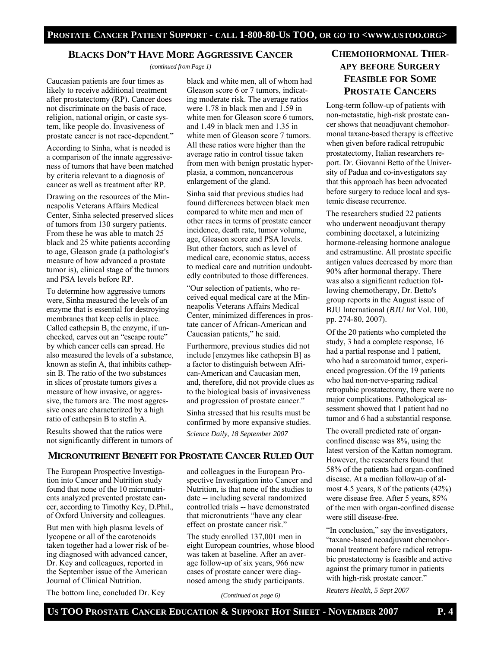### **BLACKS DON'T HAVE MORE AGGRESSIVE CANCER**

*(continued from Page 1)* 

Caucasian patients are four times as likely to receive additional treatment after prostatectomy (RP). Cancer does not discriminate on the basis of race, religion, national origin, or caste system, like people do. Invasiveness of prostate cancer is not race-dependent."

According to Sinha, what is needed is a comparison of the innate aggressiveness of tumors that have been matched by criteria relevant to a diagnosis of cancer as well as treatment after RP.

Drawing on the resources of the Minneapolis Veterans Affairs Medical Center, Sinha selected preserved slices of tumors from 130 surgery patients. From these he was able to match 25 black and 25 white patients according to age, Gleason grade (a pathologist's measure of how advanced a prostate tumor is), clinical stage of the tumors and PSA levels before RP.

To determine how aggressive tumors were, Sinha measured the levels of an enzyme that is essential for destroying membranes that keep cells in place. Called cathepsin B, the enzyme, if unchecked, carves out an "escape route" by which cancer cells can spread. He also measured the levels of a substance, known as stefin A, that inhibits cathepsin B. The ratio of the two substances in slices of prostate tumors gives a measure of how invasive, or aggressive, the tumors are. The most aggressive ones are characterized by a high ratio of cathepsin B to stefin A.

Results showed that the ratios were not significantly different in tumors of

black and white men, all of whom had Gleason score 6 or 7 tumors, indicating moderate risk. The average ratios were 1.78 in black men and 1.59 in white men for Gleason score 6 tumors, and 1.49 in black men and 1.35 in white men of Gleason score 7 tumors. All these ratios were higher than the average ratio in control tissue taken from men with benign prostatic hyperplasia, a common, noncancerous enlargement of the gland.

Sinha said that previous studies had found differences between black men compared to white men and men of other races in terms of prostate cancer incidence, death rate, tumor volume, age, Gleason score and PSA levels. But other factors, such as level of medical care, economic status, access to medical care and nutrition undoubtedly contributed to those differences.

"Our selection of patients, who received equal medical care at the Minneapolis Veterans Affairs Medical Center, minimized differences in prostate cancer of African-American and Caucasian patients," he said.

Furthermore, previous studies did not include [enzymes like cathepsin B] as a factor to distinguish between African-American and Caucasian men, and, therefore, did not provide clues as to the biological basis of invasiveness and progression of prostate cancer."

Sinha stressed that his results must be confirmed by more expansive studies.

*Science Daily, 18 September 2007* 

# **CHEMOHORMONAL THER-APY BEFORE SURGERY FEASIBLE FOR SOME PROSTATE CANCERS**

Long-term follow-up of patients with non-metastatic, high-risk prostate cancer shows that neoadjuvant chemohormonal taxane-based therapy is effective when given before radical retropubic prostatectomy, Italian researchers report. Dr. Giovanni Betto of the University of Padua and co-investigators say that this approach has been advocated before surgery to reduce local and systemic disease recurrence.

The researchers studied 22 patients who underwent neoadjuvant therapy combining docetaxel, a luteinizing hormone-releasing hormone analogue and estramustine. All prostate specific antigen values decreased by more than 90% after hormonal therapy. There was also a significant reduction following chemotherapy, Dr. Betto's group reports in the August issue of BJU International (*BJU Int* Vol. 100, pp. 274-80, 2007).

Of the 20 patients who completed the study, 3 had a complete response, 16 had a partial response and 1 patient, who had a sarcomatoid tumor, experienced progression. Of the 19 patients who had non-nerve-sparing radical retropubic prostatectomy, there were no major complications. Pathological assessment showed that 1 patient had no tumor and 6 had a substantial response.

The overall predicted rate of organconfined disease was 8%, using the latest version of the Kattan nomogram. However, the researchers found that 58% of the patients had organ-confined disease. At a median follow-up of almost 4.5 years, 8 of the patients (42%) were disease free. After 5 years, 85% of the men with organ-confined disease were still disease-free.

"In conclusion," say the investigators, "taxane-based neoadjuvant chemohormonal treatment before radical retropubic prostatectomy is feasible and active against the primary tumor in patients with high-risk prostate cancer."

*Reuters Health, 5 Sept 2007* 

## **MICRONUTRIENT BENEFIT FOR PROSTATE CANCER RULED OUT**

The European Prospective Investigation into Cancer and Nutrition study found that none of the 10 micronutrients analyzed prevented prostate cancer, according to Timothy Key, D.Phil., of Oxford University and colleagues.

But men with high plasma levels of lycopene or all of the carotenoids taken together had a lower risk of being diagnosed with advanced cancer, Dr. Key and colleagues, reported in the September issue of the American Journal of Clinical Nutrition.

The bottom line, concluded Dr. Key

and colleagues in the European Prospective Investigation into Cancer and Nutrition, is that none of the studies to date -- including several randomized controlled trials -- have demonstrated that micronutrients "have any clear effect on prostate cancer risk."

The study enrolled 137,001 men in eight European countries, whose blood was taken at baseline. After an average follow-up of six years, 966 new cases of prostate cancer were diagnosed among the study participants.

*(Continued on page 6)*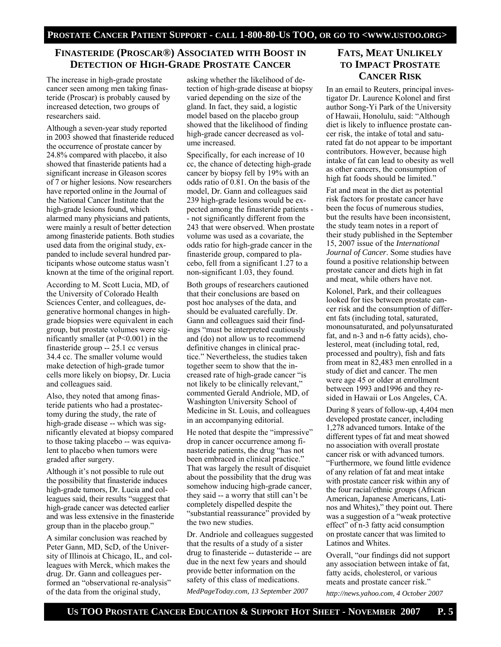## **FINASTERIDE (PROSCAR®) ASSOCIATED WITH BOOST IN DETECTION OF HIGH-GRADE PROSTATE CANCER**

The increase in high-grade prostate cancer seen among men taking finasteride (Proscar) is probably caused by increased detection, two groups of researchers said.

Although a seven-year study reported in 2003 showed that finasteride reduced the occurrence of prostate cancer by 24.8% compared with placebo, it also showed that finasteride patients had a significant increase in Gleason scores of 7 or higher lesions. Now researchers have reported online in the Journal of the National Cancer Institute that the high-grade lesions found, which alarmed many physicians and patients, were mainly a result of better detection among finasteride patients. Both studies used data from the original study, expanded to include several hundred participants whose outcome status wasn't known at the time of the original report.

According to M. Scott Lucia, MD, of the University of Colorado Health Sciences Center, and colleagues, degenerative hormonal changes in highgrade biopsies were equivalent in each group, but prostate volumes were significantly smaller (at P<0.001) in the finasteride group -- 25.1 cc versus 34.4 cc. The smaller volume would make detection of high-grade tumor cells more likely on biopsy, Dr. Lucia and colleagues said.

Also, they noted that among finasteride patients who had a prostatectomy during the study, the rate of high-grade disease -- which was significantly elevated at biopsy compared to those taking placebo -- was equivalent to placebo when tumors were graded after surgery.

Although it's not possible to rule out the possibility that finasteride induces high-grade tumors, Dr. Lucia and colleagues said, their results "suggest that high-grade cancer was detected earlier and was less extensive in the finasteride group than in the placebo group."

A similar conclusion was reached by Peter Gann, MD, ScD, of the University of Illinois at Chicago, IL, and colleagues with Merck, which makes the drug. Dr. Gann and colleagues performed an "observational re-analysis" of the data from the original study,

asking whether the likelihood of detection of high-grade disease at biopsy varied depending on the size of the gland. In fact, they said, a logistic model based on the placebo group showed that the likelihood of finding high-grade cancer decreased as volume increased.

Specifically, for each increase of 10 cc, the chance of detecting high-grade cancer by biopsy fell by 19% with an odds ratio of 0.81. On the basis of the model, Dr. Gann and colleagues said 239 high-grade lesions would be expected among the finasteride patients - - not significantly different from the 243 that were observed. When prostate volume was used as a covariate, the odds ratio for high-grade cancer in the finasteride group, compared to placebo, fell from a significant 1.27 to a non-significant 1.03, they found.

Both groups of researchers cautioned that their conclusions are based on post hoc analyses of the data, and should be evaluated carefully. Dr. Gann and colleagues said their findings "must be interpreted cautiously and (do) not allow us to recommend definitive changes in clinical practice." Nevertheless, the studies taken together seem to show that the increased rate of high-grade cancer "is not likely to be clinically relevant," commented Gerald Andriole, MD, of Washington University School of Medicine in St. Louis, and colleagues in an accompanying editorial.

He noted that despite the "impressive" drop in cancer occurrence among finasteride patients, the drug "has not been embraced in clinical practice." That was largely the result of disquiet about the possibility that the drug was somehow inducing high-grade cancer, they said -- a worry that still can't be completely dispelled despite the "substantial reassurance" provided by the two new studies.

Dr. Andriole and colleagues suggested that the results of a study of a sister drug to finasteride -- dutasteride -- are due in the next few years and should provide better information on the safety of this class of medications.

*MedPageToday.com, 13 September 2007* 

# **FATS, MEAT UNLIKELY TO IMPACT PROSTATE CANCER RISK**

In an email to Reuters, principal investigator Dr. Laurence Kolonel and first author Song-Yi Park of the University of Hawaii, Honolulu, said: "Although diet is likely to influence prostate cancer risk, the intake of total and saturated fat do not appear to be important contributors. However, because high intake of fat can lead to obesity as well as other cancers, the consumption of high fat foods should be limited."

Fat and meat in the diet as potential risk factors for prostate cancer have been the focus of numerous studies, but the results have been inconsistent, the study team notes in a report of their study published in the September 15, 2007 issue of the *International Journal of Cancer*. Some studies have found a positive relationship between prostate cancer and diets high in fat and meat, while others have not.

Kolonel, Park, and their colleagues looked for ties between prostate cancer risk and the consumption of different fats (including total, saturated, monounsaturated, and polyunsaturated fat, and n-3 and n-6 fatty acids), cholesterol, meat (including total, red, processed and poultry), fish and fats from meat in 82,483 men enrolled in a study of diet and cancer. The men were age 45 or older at enrollment between 1993 and1996 and they resided in Hawaii or Los Angeles, CA.

During 8 years of follow-up, 4,404 men developed prostate cancer, including 1,278 advanced tumors. Intake of the different types of fat and meat showed no association with overall prostate cancer risk or with advanced tumors. "Furthermore, we found little evidence of any relation of fat and meat intake with prostate cancer risk within any of the four racial/ethnic groups (African American, Japanese Americans, Latinos and Whites)," they point out. There was a suggestion of a "weak protective effect" of n-3 fatty acid consumption on prostate cancer that was limited to Latinos and Whites.

Overall, "our findings did not support any association between intake of fat, fatty acids, cholesterol, or various meats and prostate cancer risk."

*http://news.yahoo.com, 4 October 2007*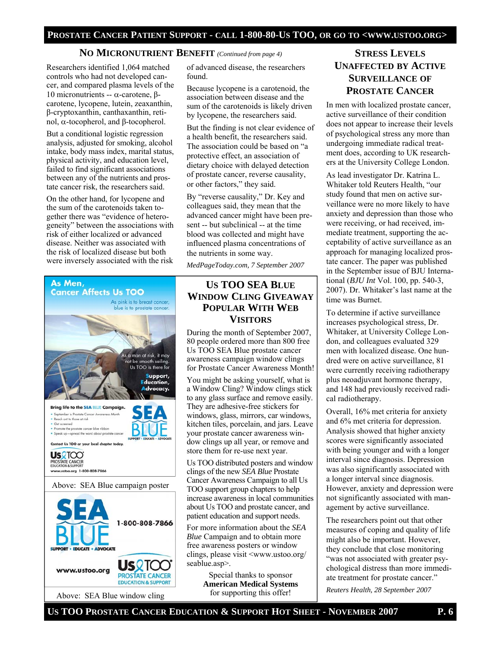### **NO MICRONUTRIENT BENEFIT** *(Continued from page 4)*

Researchers identified 1,064 matched controls who had not developed cancer, and compared plasma levels of the 10 micronutrients -- α-carotene, βcarotene, lycopene, lutein, zeaxanthin, β-cryptoxanthin, canthaxanthin, retinol, α-tocopherol, and β-tocopherol.

But a conditional logistic regression analysis, adjusted for smoking, alcohol intake, body mass index, marital status, physical activity, and education level, failed to find significant associations between any of the nutrients and prostate cancer risk, the researchers said.

On the other hand, for lycopene and the sum of the carotenoids taken together there was "evidence of heterogeneity" between the associations with risk of either localized or advanced disease. Neither was associated with the risk of localized disease but both were inversely associated with the risk

> As pink is to breast cancer, blue is to prostate cancer.

> > s <mark>a man at risk</mark>, it may not be smooth sailing. Us TOO is there for Support,<br>Education, Advocacy.

1-800-808-7866

**US** 2TOO

**PROSTATE CANCER EDUCATION & SUPPORT** 

**Cancer Affects Us TOO** 

**Bring life to the SEA BLUE Campaig** September is Prostate Cancer Awareness Month

ate the prostate cancer blue ribbon up-spread the word about prosts Contact Us TOO or your local chapter to

Reach out to those at risk · Get screened

**US**2TCC PROSTATE CANCER www.ustoo.org 1-800-808-7866

As Men,

Above: SEA Blue campaign poster

Above: SEA Blue window cling

**EDUCATE - ADVOCATE** 

www.ustoo.org

of advanced disease, the researchers found.

Because lycopene is a carotenoid, the association between disease and the sum of the carotenoids is likely driven by lycopene, the researchers said.

But the finding is not clear evidence of a health benefit, the researchers said. The association could be based on "a protective effect, an association of dietary choice with delayed detection of prostate cancer, reverse causality, or other factors," they said.

By "reverse causality," Dr. Key and colleagues said, they mean that the advanced cancer might have been present -- but subclinical -- at the time blood was collected and might have influenced plasma concentrations of the nutrients in some way.

*MedPageToday.com, 7 September 2007* 

# **US TOO SEA BLUE WINDOW CLING GIVEAWAY POPULAR WITH WEB VISITORS**

During the month of September 2007, 80 people ordered more than 800 free Us TOO SEA Blue prostate cancer awareness campaign window clings for Prostate Cancer Awareness Month!

You might be asking yourself, what is a Window Cling? Window clings stick to any glass surface and remove easily. They are adhesive-free stickers for windows, glass, mirrors, car windows, kitchen tiles, porcelain, and jars. Leave your prostate cancer awareness window clings up all year, or remove and store them for re-use next year.

Us TOO distributed posters and window clings of the new *SEA Blue* Prostate Cancer Awareness Campaign to all Us TOO support group chapters to help increase awareness in local communities about Us TOO and prostate cancer, and patient education and support needs.

For more information about the *SEA Blue* Campaign and to obtain more free awareness posters or window clings, please visit <www.ustoo.org/ seablue.asp>.

> Special thanks to sponsor **American Medical Systems**  for supporting this offer!

# **STRESS LEVELS UNAFFECTED BY ACTIVE SURVEILLANCE OF PROSTATE CANCER**

In men with localized prostate cancer, active surveillance of their condition does not appear to increase their levels of psychological stress any more than undergoing immediate radical treatment does, according to UK researchers at the University College London.

As lead investigator Dr. Katrina L. Whitaker told Reuters Health, "our study found that men on active surveillance were no more likely to have anxiety and depression than those who were receiving, or had received, immediate treatment, supporting the acceptability of active surveillance as an approach for managing localized prostate cancer. The paper was published in the September issue of BJU International (*BJU Int* Vol. 100, pp. 540-3, 2007). Dr. Whitaker's last name at the time was Burnet.

To determine if active surveillance increases psychological stress, Dr. Whitaker, at University College London, and colleagues evaluated 329 men with localized disease. One hundred were on active surveillance, 81 were currently receiving radiotherapy plus neoadjuvant hormone therapy, and 148 had previously received radical radiotherapy.

Overall, 16% met criteria for anxiety and 6% met criteria for depression. Analysis showed that higher anxiety scores were significantly associated with being younger and with a longer interval since diagnosis. Depression was also significantly associated with a longer interval since diagnosis. However, anxiety and depression were not significantly associated with management by active surveillance.

The researchers point out that other measures of coping and quality of life might also be important. However, they conclude that close monitoring "was not associated with greater psychological distress than more immediate treatment for prostate cancer."

*Reuters Health, 28 September 2007* 

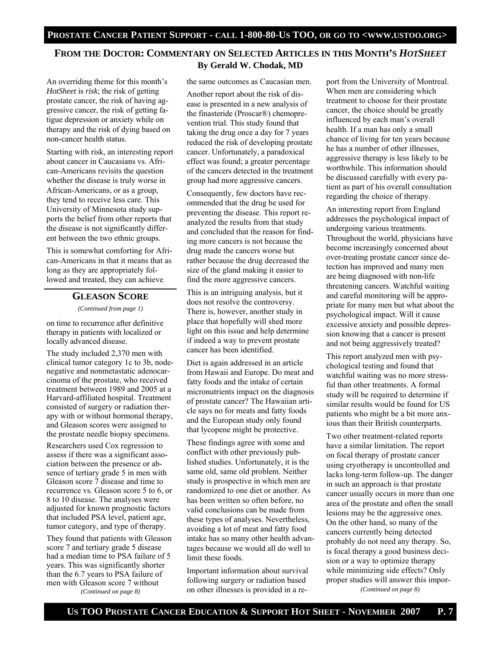# **FROM THE DOCTOR: COMMENTARY ON SELECTED ARTICLES IN THIS MONTH'S** *HOTSHEET* **By Gerald W. Chodak, MD**

An overriding theme for this month's *HotSheet* is *risk*; the risk of getting prostate cancer, the risk of having aggressive cancer, the risk of getting fatigue depression or anxiety while on therapy and the risk of dying based on non-cancer health status.

Starting with risk, an interesting report about cancer in Caucasians vs. African-Americans revisits the question whether the disease is truly worse in African-Americans, or as a group, they tend to receive less care. This University of Minnesota study supports the belief from other reports that the disease is not significantly different between the two ethnic groups.

This is somewhat comforting for African-Americans in that it means that as long as they are appropriately followed and treated, they can achieve

### **GLEASON SCORE**

*(Continued from page 1)* 

on time to recurrence after definitive therapy in patients with localized or locally advanced disease.

The study included 2,370 men with clinical tumor category 1c to 3b, nodenegative and nonmetastatic adenocarcinoma of the prostate, who received treatment between 1989 and 2005 at a Harvard-affiliated hospital. Treatment consisted of surgery or radiation therapy with or without hormonal therapy, and Gleason scores were assigned to the prostate needle biopsy specimens.

Researchers used Cox regression to assess if there was a significant association between the presence or absence of tertiary grade 5 in men with Gleason score 7 disease and time to recurrence vs. Gleason score 5 to 6, or 8 to 10 disease. The analyses were adjusted for known prognostic factors that included PSA level, patient age, tumor category, and type of therapy.

They found that patients with Gleason score 7 and tertiary grade 5 disease had a median time to PSA failure of 5 years. This was significantly shorter than the 6.7 years to PSA failure of men with Gleason score 7 without *(Continued on page 8)* 

the same outcomes as Caucasian men.

Another report about the risk of disease is presented in a new analysis of the finasteride (Proscar®) chemoprevention trial. This study found that taking the drug once a day for 7 years reduced the risk of developing prostate cancer. Unfortunately, a paradoxical effect was found; a greater percentage of the cancers detected in the treatment group had more aggressive cancers.

Consequently, few doctors have recommended that the drug be used for preventing the disease. This report reanalyzed the results from that study and concluded that the reason for finding more cancers is not because the drug made the cancers worse but rather because the drug decreased the size of the gland making it easier to find the more aggressive cancers.

This is an intriguing analysis, but it does not resolve the controversy. There is, however, another study in place that hopefully will shed more light on this issue and help determine if indeed a way to prevent prostate cancer has been identified.

Diet is again addressed in an article from Hawaii and Europe. Do meat and fatty foods and the intake of certain micronutrients impact on the diagnosis of prostate cancer? The Hawaiian article says no for meats and fatty foods and the European study only found that lycopene might be protective.

These findings agree with some and conflict with other previously published studies. Unfortunately, it is the same old, same old problem. Neither study is prospective in which men are randomized to one diet or another. As has been written so often before, no valid conclusions can be made from these types of analyses. Nevertheless, avoiding a lot of meat and fatty food intake has so many other health advantages because we would all do well to limit these foods.

Important information about survival following surgery or radiation based on other illnesses is provided in a re-

port from the University of Montreal. When men are considering which treatment to choose for their prostate cancer, the choice should be greatly influenced by each man's overall health. If a man has only a small chance of living for ten years because he has a number of other illnesses, aggressive therapy is less likely to be worthwhile. This information should be discussed carefully with every patient as part of his overall consultation regarding the choice of therapy.

An interesting report from England addresses the psychological impact of undergoing various treatments. Throughout the world, physicians have become increasingly concerned about over-treating prostate cancer since detection has improved and many men are being diagnosed with non-life threatening cancers. Watchful waiting and careful monitoring will be appropriate for many men but what about the psychological impact. Will it cause excessive anxiety and possible depression knowing that a cancer is present and not being aggressively treated?

This report analyzed men with psychological testing and found that watchful waiting was no more stressful than other treatments. A formal study will be required to determine if similar results would be found for US patients who might be a bit more anxious than their British counterparts.

Two other treatment-related reports have a similar limitation. The report on focal therapy of prostate cancer using cryotherapy is uncontrolled and lacks long-term follow-up. The danger in such an approach is that prostate cancer usually occurs in more than one area of the prostate and often the small lesions may be the aggressive ones. On the other hand, so many of the cancers currently being detected probably do not need any therapy. So, is focal therapy a good business decision or a way to optimize therapy while minimizing side effects? Only proper studies will answer this impor- *(Continued on page 8)*